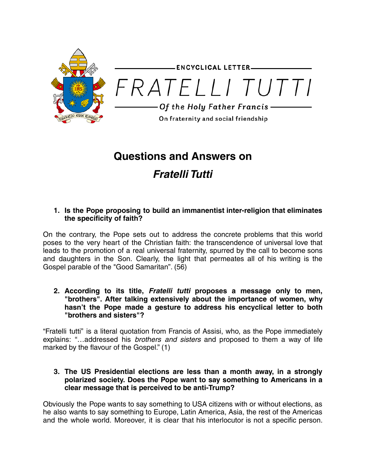

**ENCYCLICAL LETTER-**



# **Questions and Answers on Fratelli Tutti**

# **1. Is the Pope proposing to build an immanentist inter-religion that eliminates the specificity of faith?**

On the contrary, the Pope sets out to address the concrete problems that this world poses to the very heart of the Christian faith: the transcendence of universal love that leads to the promotion of a real universal fraternity, spurred by the call to become sons and daughters in the Son. Clearly, the light that permeates all of his writing is the Gospel parable of the "Good Samaritan". (56)

**2. According to its title, Fratelli tutti proposes a message only to men, "brothers". After talking extensively about the importance of women, why hasn't the Pope made a gesture to address his encyclical letter to both "brothers and sisters"?**

"Fratelli tutti" is a literal quotation from Francis of Assisi, who, as the Pope immediately explains: "...addressed his *brothers and sisters* and proposed to them a way of life marked by the flavour of the Gospel." (1)

# **3. The US Presidential elections are less than a month away, in a strongly polarized society. Does the Pope want to say something to Americans in a clear message that is perceived to be anti-Trump?**

Obviously the Pope wants to say something to USA citizens with or without elections, as he also wants to say something to Europe, Latin America, Asia, the rest of the Americas and the whole world. Moreover, it is clear that his interlocutor is not a specific person.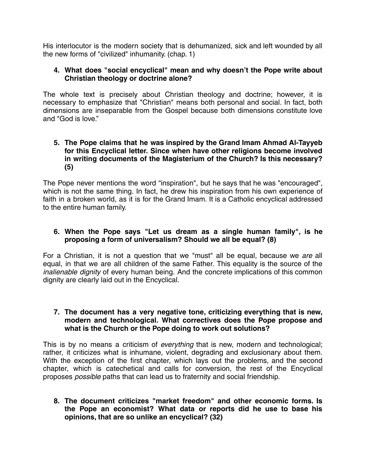His interlocutor is the modern society that is dehumanized, sick and left wounded by all the new forms of "civilized" inhumanity. (chap. 1)

## **4. What does "social encyclical" mean and why doesn't the Pope write about Christian theology or doctrine alone?**

The whole text is precisely about Christian theology and doctrine; however, it is necessary to emphasize that "Christian" means both personal and social. In fact, both dimensions are inseparable from the Gospel because both dimensions constitute love and "God is love."

## **5. The Pope claims that he was inspired by the Grand Imam Ahmad Al-Tayyeb for this Encyclical letter. Since when have other religions become involved in writing documents of the Magisterium of the Church? Is this necessary? (5)**

The Pope never mentions the word "inspiration", but he says that he was "encouraged", which is not the same thing. In fact, he drew his inspiration from his own experience of faith in a broken world, as it is for the Grand Imam. It is a Catholic encyclical addressed to the entire human family.

# **6. When the Pope says "Let us dream as a single human family", is he proposing a form of universalism? Should we all be equal? (8)**

For a Christian, it is not a question that we "must" all be equal, because we are all equal, in that we are all children of the same Father. This equality is the source of the inalienable dignity of every human being. And the concrete implications of this common dignity are clearly laid out in the Encyclical.

## **7. The document has a very negative tone, criticizing everything that is new, modern and technological. What correctives does the Pope propose and what is the Church or the Pope doing to work out solutions?**

This is by no means a criticism of everything that is new, modern and technological; rather, it criticizes what is inhumane, violent, degrading and exclusionary about them. With the exception of the first chapter, which lays out the problems, and the second chapter, which is catechetical and calls for conversion, the rest of the Encyclical proposes possible paths that can lead us to fraternity and social friendship.

**8. The document criticizes "market freedom" and other economic forms. Is the Pope an economist? What data or reports did he use to base his opinions, that are so unlike an encyclical? (32)**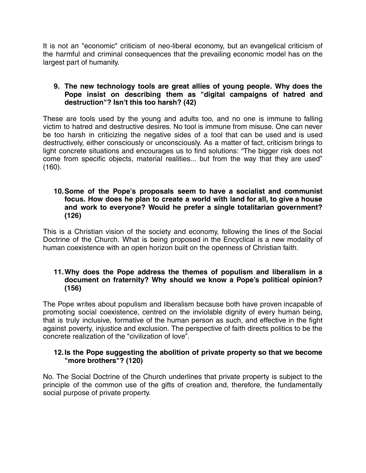It is not an "economic" criticism of neo-liberal economy, but an evangelical criticism of the harmful and criminal consequences that the prevailing economic model has on the largest part of humanity.

# **9. The new technology tools are great allies of young people. Why does the Pope insist on describing them as "digital campaigns of hatred and destruction"? Isn't this too harsh? (42)**

These are tools used by the young and adults too, and no one is immune to falling victim to hatred and destructive desires. No tool is immune from misuse. One can never be too harsh in criticizing the negative sides of a tool that can be used and is used destructively, either consciously or unconsciously. As a matter of fact, criticism brings to light concrete situations and encourages us to find solutions: "The bigger risk does not come from specific objects, material realities... but from the way that they are used" (160).

## **10.Some of the Pope's proposals seem to have a socialist and communist focus. How does he plan to create a world with land for all, to give a house and work to everyone? Would he prefer a single totalitarian government? (126)**

This is a Christian vision of the society and economy, following the lines of the Social Doctrine of the Church. What is being proposed in the Encyclical is a new modality of human coexistence with an open horizon built on the openness of Christian faith.

# **11.Why does the Pope address the themes of populism and liberalism in a document on fraternity? Why should we know a Pope's political opinion? (156)**

The Pope writes about populism and liberalism because both have proven incapable of promoting social coexistence, centred on the inviolable dignity of every human being, that is truly inclusive, formative of the human person as such, and effective in the fight against poverty, injustice and exclusion. The perspective of faith directs politics to be the concrete realization of the "civilization of love".

# **12.Is the Pope suggesting the abolition of private property so that we become "more brothers"? (120)**

No. The Social Doctrine of the Church underlines that private property is subject to the principle of the common use of the gifts of creation and, therefore, the fundamentally social purpose of private property.